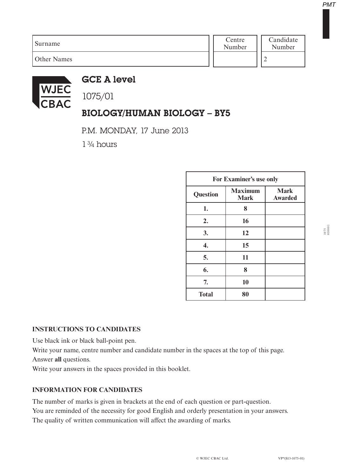Surname

Number

Other Names



GCE A level

1075/01

## BIOLOGY/HUMAN BIOLOGY – BY5

P.M. MONDAY, 17 June 2013

1¾ hours

| For Examiner's use only |                               |                               |  |  |  |
|-------------------------|-------------------------------|-------------------------------|--|--|--|
| <b>Question</b>         | <b>Maximum</b><br><b>Mark</b> | <b>Mark</b><br><b>Awarded</b> |  |  |  |
| 1.                      | 8                             |                               |  |  |  |
| 2.                      | 16                            |                               |  |  |  |
| 3.                      | 12                            |                               |  |  |  |
| 4.                      | 15                            |                               |  |  |  |
| 5.                      | 11                            |                               |  |  |  |
| 6.                      | 8                             |                               |  |  |  |
| 7.                      | 10                            |                               |  |  |  |
| <b>Total</b>            | 80                            |                               |  |  |  |

## **INSTRUCTIONS TO CANDIDATES**

Use black ink or black ball-point pen.

Write your name, centre number and candidate number in the spaces at the top of this page. Answer **all** questions.

Write your answers in the spaces provided in this booklet.

## **INFORMATION FOR CANDIDATES**

The number of marks is given in brackets at the end of each question or part-question. You are reminded of the necessity for good English and orderly presentation in your answers. The quality of written communication will affect the awarding of marks.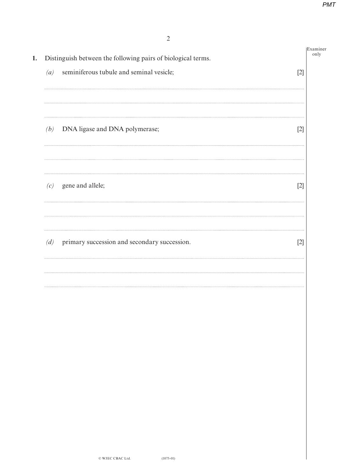| 1. |     | Distinguish between the following pairs of biological terms. | Examiner<br>only |
|----|-----|--------------------------------------------------------------|------------------|
|    | (a) | seminiferous tubule and seminal vesicle;<br>$[2]$            |                  |
|    |     |                                                              |                  |
|    |     |                                                              |                  |
|    | (b) | DNA ligase and DNA polymerase;<br>$[2]$                      |                  |
|    |     |                                                              |                  |
|    |     |                                                              |                  |
|    | (c) | gene and allele;<br>$[2]$                                    |                  |
|    |     |                                                              |                  |
|    |     |                                                              |                  |
|    | (d) | primary succession and secondary succession.<br>$[2]$        |                  |
|    |     |                                                              |                  |
|    |     |                                                              |                  |
|    |     |                                                              |                  |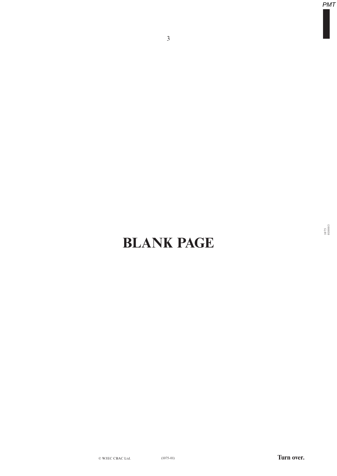

1075 010003

## **BLANK PAGE**

3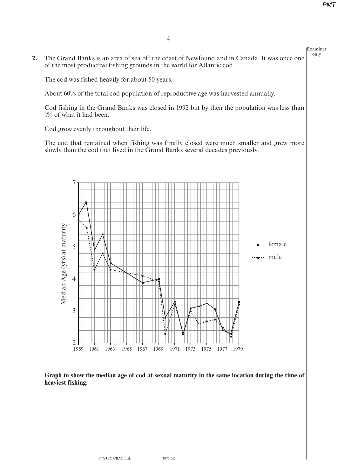Examiner

**2.** The Grand Banks is an area of sea off the coast of Newfoundland in Canada. It was once one of the most productive fishing grounds in the world for Atlantic cod. only

4

The cod was fished heavily for about 50 years.

About 60% of the total cod population of reproductive age was harvested annually.

Cod fishing in the Grand Banks was closed in 1992 but by then the population was less than 1% of what it had been.

Cod grow evenly throughout their life.

The cod that remained when fishing was finally closed were much smaller and grew more slowly than the cod that lived in the Grand Banks several decades previously.



**Graph to show the median age of cod at sexual maturity in the same location during the time of heaviest fishing.**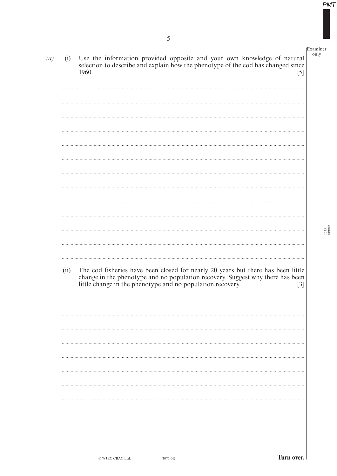1075 010005

Examiner only *(a)* (i) Use the information provided opposite and your own knowledge of natural selection to describe and explain how the phenotype of the cod has changed since 1960. [5] (ii) The cod fisheries have been closed for nearly 20 years but there has been little change in the phenotype and no population recovery. Suggest why there has been little change in the phenotype and no population recovery. [3]

**Turn over.**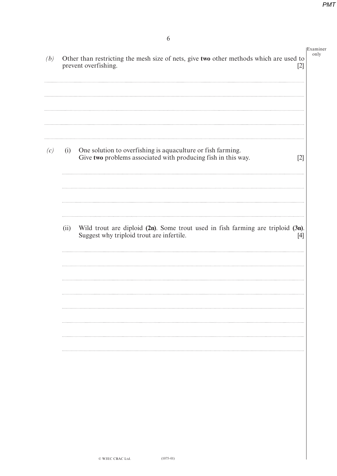|   | I |    |  |
|---|---|----|--|
|   | ٦ |    |  |
| ĉ |   | š  |  |
|   | v | ۰, |  |
|   |   |    |  |

| (b) |      | Other than restricting the mesh size of nets, give two other methods which are used to<br>prevent overfishing.<br>$[2]$               |
|-----|------|---------------------------------------------------------------------------------------------------------------------------------------|
| (c) | (i)  | One solution to overfishing is aquaculture or fish farming.<br>Give two problems associated with producing fish in this way.<br>$[2]$ |
|     |      |                                                                                                                                       |
|     | (ii) | Wild trout are diploid (2n). Some trout used in fish farming are triploid (3n).<br>Suggest why triploid trout are infertile.<br>[4]   |
|     |      |                                                                                                                                       |
|     |      |                                                                                                                                       |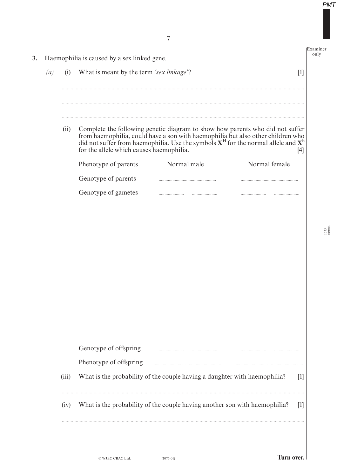1075 010007

|                        | What is meant by the term 'sex linkage'?                                  | $[1]$                                                                                                                                                                                                                                                            |
|------------------------|---------------------------------------------------------------------------|------------------------------------------------------------------------------------------------------------------------------------------------------------------------------------------------------------------------------------------------------------------|
|                        | for the allele which causes haemophilia.                                  | Complete the following genetic diagram to show how parents who did not suffer<br>from haemophilia, could have a son with haemophilia but also other children who did not suffer from haemophilia. Use the symbols $X^H$ for the normal allele and $X^h$<br>$[4]$ |
| Phenotype of parents   | Normal male                                                               | Normal female                                                                                                                                                                                                                                                    |
| Genotype of parents    |                                                                           |                                                                                                                                                                                                                                                                  |
| Genotype of gametes    |                                                                           |                                                                                                                                                                                                                                                                  |
|                        |                                                                           |                                                                                                                                                                                                                                                                  |
|                        |                                                                           |                                                                                                                                                                                                                                                                  |
|                        |                                                                           |                                                                                                                                                                                                                                                                  |
|                        |                                                                           |                                                                                                                                                                                                                                                                  |
|                        |                                                                           |                                                                                                                                                                                                                                                                  |
|                        |                                                                           |                                                                                                                                                                                                                                                                  |
|                        |                                                                           |                                                                                                                                                                                                                                                                  |
|                        |                                                                           |                                                                                                                                                                                                                                                                  |
|                        |                                                                           |                                                                                                                                                                                                                                                                  |
|                        |                                                                           |                                                                                                                                                                                                                                                                  |
| Genotype of offspring  |                                                                           |                                                                                                                                                                                                                                                                  |
|                        |                                                                           |                                                                                                                                                                                                                                                                  |
| Phenotype of offspring |                                                                           |                                                                                                                                                                                                                                                                  |
|                        | What is the probability of the couple having a daughter with haemophilia? | $[1]$                                                                                                                                                                                                                                                            |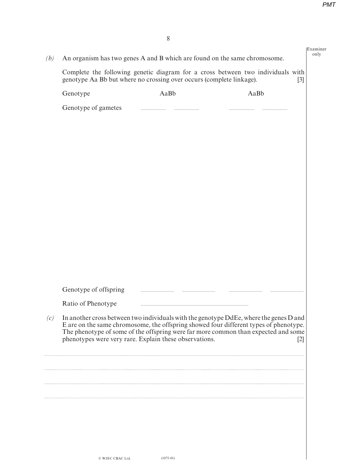|     | Genotype                                               | AaBb                                                                                                                                                                                                                                                                  | AaBb |     |
|-----|--------------------------------------------------------|-----------------------------------------------------------------------------------------------------------------------------------------------------------------------------------------------------------------------------------------------------------------------|------|-----|
|     | Genotype of gametes                                    |                                                                                                                                                                                                                                                                       |      |     |
|     |                                                        |                                                                                                                                                                                                                                                                       |      |     |
|     |                                                        |                                                                                                                                                                                                                                                                       |      |     |
|     |                                                        |                                                                                                                                                                                                                                                                       |      |     |
|     |                                                        |                                                                                                                                                                                                                                                                       |      |     |
|     |                                                        |                                                                                                                                                                                                                                                                       |      |     |
|     |                                                        |                                                                                                                                                                                                                                                                       |      |     |
|     |                                                        |                                                                                                                                                                                                                                                                       |      |     |
|     |                                                        |                                                                                                                                                                                                                                                                       |      |     |
|     |                                                        |                                                                                                                                                                                                                                                                       |      |     |
|     |                                                        |                                                                                                                                                                                                                                                                       |      |     |
|     |                                                        |                                                                                                                                                                                                                                                                       |      |     |
|     | Genotype of offspring                                  | <br>                                                                                                                                                                                                                                                                  |      |     |
|     | Ratio of Phenotype                                     |                                                                                                                                                                                                                                                                       |      |     |
| (c) | phenotypes were very rare. Explain these observations. | In another cross between two individuals with the genotype DdEe, where the genes D and<br>E are on the same chromosome, the offspring showed four different types of phenotype.<br>The phenotype of some of the offspring were far more common than expected and some |      | [2] |
|     |                                                        |                                                                                                                                                                                                                                                                       |      |     |
|     |                                                        |                                                                                                                                                                                                                                                                       |      |     |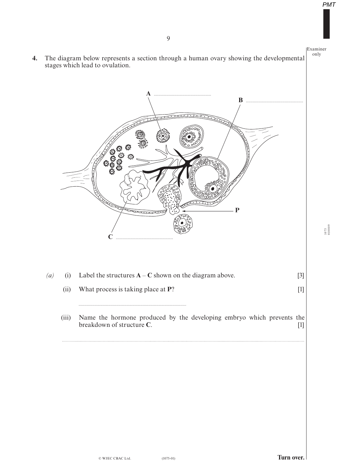Examiner only

**4.** The diagram below represents a section through a human ovary showing the developmental stages which lead to ovulation.



| $\alpha$ |       | Label the structures $A - C$ shown on the diagram above.              |  |
|----------|-------|-----------------------------------------------------------------------|--|
|          |       | What process is taking place at P?                                    |  |
|          |       |                                                                       |  |
|          | (111) | Name the hormone produced by the developing embryo which prevents the |  |

(iii) Name the hormone produced by the developing embryo which prevents the breakdown of structure **C**. [1]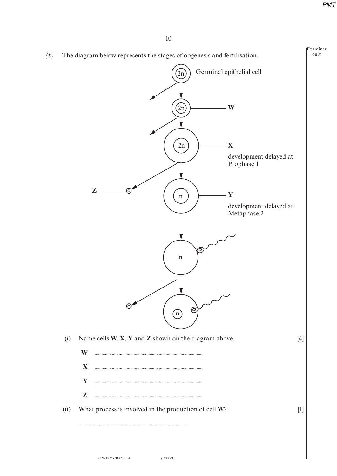Examiner only



*(b)* The diagram below represents the stages of oogenesis and fertilisation.

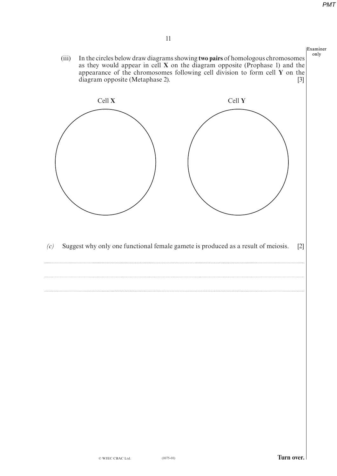Examiner

only (iii) In the circles below draw diagrams showing **two pairs** of homologous chromosomes as they would appear in cell **X** on the diagram opposite (Prophase 1) and the appearance of the chromosomes following cell division to form cell **Y** on the diagram opposite (Metaphase 2). diagram opposite (Metaphase 2).

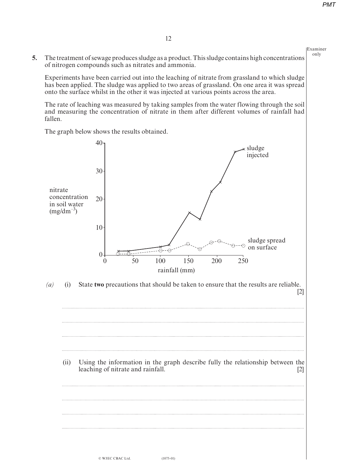Examiner

**5.** The treatment of sewage produces sludge as a product. This sludge contains high concentrations of nitrogen compounds such as nitrates and ammonia. only

Experiments have been carried out into the leaching of nitrate from grassland to which sludge has been applied. The sludge was applied to two areas of grassland. On one area it was spread onto the surface whilst in the other it was injected at various points across the area.

The rate of leaching was measured by taking samples from the water flowing through the soil and measuring the concentration of nitrate in them after different volumes of rainfall had fallen.

The graph below shows the results obtained.

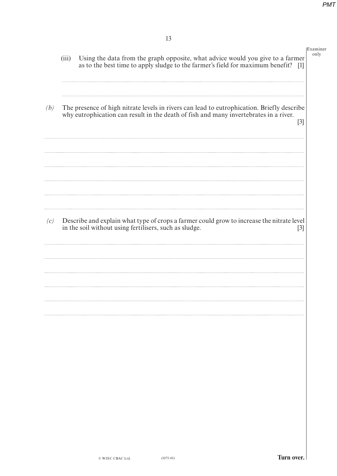|     | (iii) | Using the data from the graph opposite, what advice would you give to a farmer<br>as to the best time to apply sludge to the farmer's field for maximum benefit? [1]                         | Examiner<br>only |
|-----|-------|----------------------------------------------------------------------------------------------------------------------------------------------------------------------------------------------|------------------|
| (b) |       | The presence of high nitrate levels in rivers can lead to eutrophication. Briefly describe<br>why eutrophication can result in the death of fish and many invertebrates in a river.<br>$[3]$ |                  |
|     |       |                                                                                                                                                                                              |                  |
| (c) |       | Describe and explain what type of crops a farmer could grow to increase the nitrate level<br>in the soil without using fertilisers, such as sludge.<br>$[3]$                                 |                  |
|     |       |                                                                                                                                                                                              |                  |
|     |       |                                                                                                                                                                                              |                  |
|     |       |                                                                                                                                                                                              |                  |
|     |       |                                                                                                                                                                                              |                  |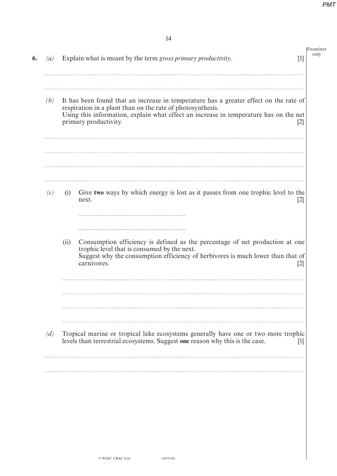| $\left(a\right)$ |      | Explain what is meant by the term gross primary productivity.<br>$\vert \, \vert \, \vert$                                                                                                                                                                                   |
|------------------|------|------------------------------------------------------------------------------------------------------------------------------------------------------------------------------------------------------------------------------------------------------------------------------|
| (b)              |      | It has been found that an increase in temperature has a greater effect on the rate of<br>respiration in a plant than on the rate of photosynthesis.<br>Using this information, explain what effect an increase in temperature has on the net<br>primary productivity.<br>[2] |
| (c)              | (i)  | Give two ways by which energy is lost as it passes from one trophic level to the<br>next.<br>$\lceil 2 \rceil$                                                                                                                                                               |
|                  | (ii) | Consumption efficiency is defined as the percentage of net production at one<br>trophic level that is consumed by the next.<br>Suggest why the consumption efficiency of herbivores is much lower than that of<br>carnivores.<br> 2                                          |
| (d)              |      | Tropical marine or tropical lake ecosystems generally have one or two more trophic<br>levels than terrestrial ecosystems. Suggest one reason why this is the case.<br>[1]                                                                                                    |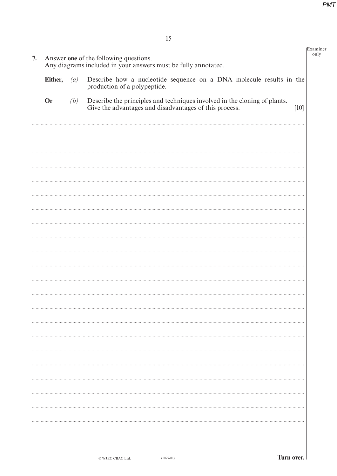| 7. |         |                   | Answer one of the following questions.<br>Any diagrams included in your answers must be fully annotated.                            | Examiner |
|----|---------|-------------------|-------------------------------------------------------------------------------------------------------------------------------------|----------|
|    | Either, | $\left( a\right)$ | Describe how a nucleotide sequence on a DNA molecule results in the<br>production of a polypeptide.                                 |          |
|    | Or      | (b)               | Describe the principles and techniques involved in the cloning of plants.<br>Give the advantages and disadvantages of this process. | $[10]$   |
|    |         |                   |                                                                                                                                     |          |
|    |         |                   |                                                                                                                                     |          |
|    |         |                   |                                                                                                                                     |          |
|    |         |                   |                                                                                                                                     |          |
|    |         |                   |                                                                                                                                     |          |
|    |         |                   |                                                                                                                                     |          |
|    |         |                   |                                                                                                                                     |          |
|    |         |                   |                                                                                                                                     |          |
|    |         |                   |                                                                                                                                     |          |
|    |         |                   |                                                                                                                                     |          |
|    |         |                   |                                                                                                                                     |          |
|    |         |                   |                                                                                                                                     |          |
|    |         |                   |                                                                                                                                     |          |
|    |         |                   |                                                                                                                                     |          |
|    |         |                   |                                                                                                                                     |          |
|    |         |                   |                                                                                                                                     |          |

© WJEC CBAC Ltd.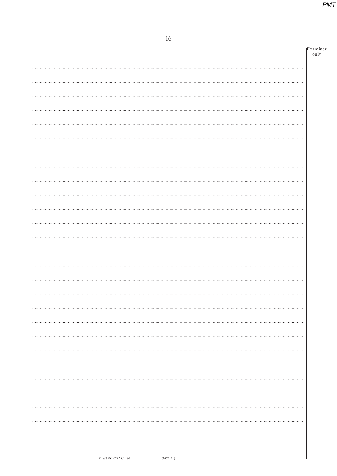| 16    |                  |
|-------|------------------|
|       | Examiner<br>only |
|       |                  |
|       |                  |
|       |                  |
|       |                  |
|       |                  |
|       |                  |
|       |                  |
|       |                  |
|       |                  |
|       |                  |
|       |                  |
|       |                  |
|       |                  |
|       |                  |
|       |                  |
|       |                  |
|       |                  |
|       |                  |
|       |                  |
|       |                  |
|       |                  |
|       |                  |
|       |                  |
| .<br> |                  |
|       |                  |
|       |                  |
|       |                  |
|       |                  |